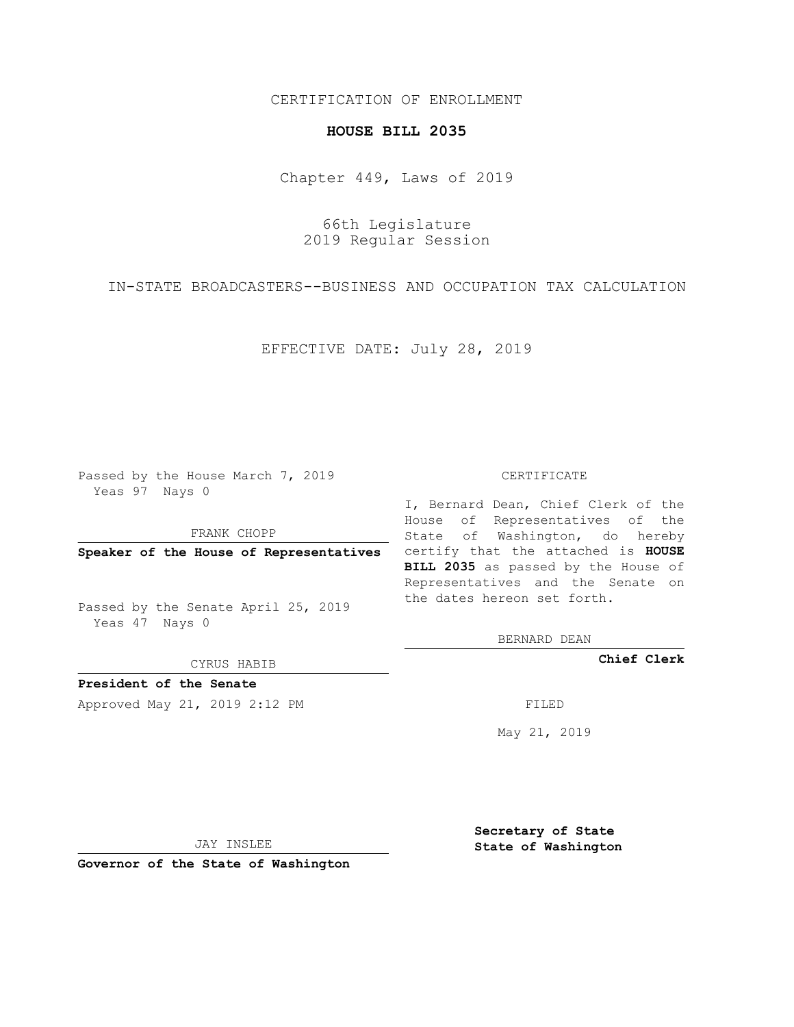## CERTIFICATION OF ENROLLMENT

## **HOUSE BILL 2035**

Chapter 449, Laws of 2019

66th Legislature 2019 Regular Session

IN-STATE BROADCASTERS--BUSINESS AND OCCUPATION TAX CALCULATION

EFFECTIVE DATE: July 28, 2019

Passed by the House March 7, 2019 Yeas 97 Nays 0

FRANK CHOPP

Passed by the Senate April 25, 2019 Yeas 47 Nays 0

CYRUS HABIB

**President of the Senate**

Approved May 21, 2019 2:12 PM

## CERTIFICATE

**Speaker of the House of Representatives** certify that the attached is **HOUSE** I, Bernard Dean, Chief Clerk of the House of Representatives of the State of Washington, do hereby **BILL 2035** as passed by the House of Representatives and the Senate on the dates hereon set forth.

BERNARD DEAN

**Chief Clerk**

May 21, 2019

JAY INSLEE

**Governor of the State of Washington**

**Secretary of State State of Washington**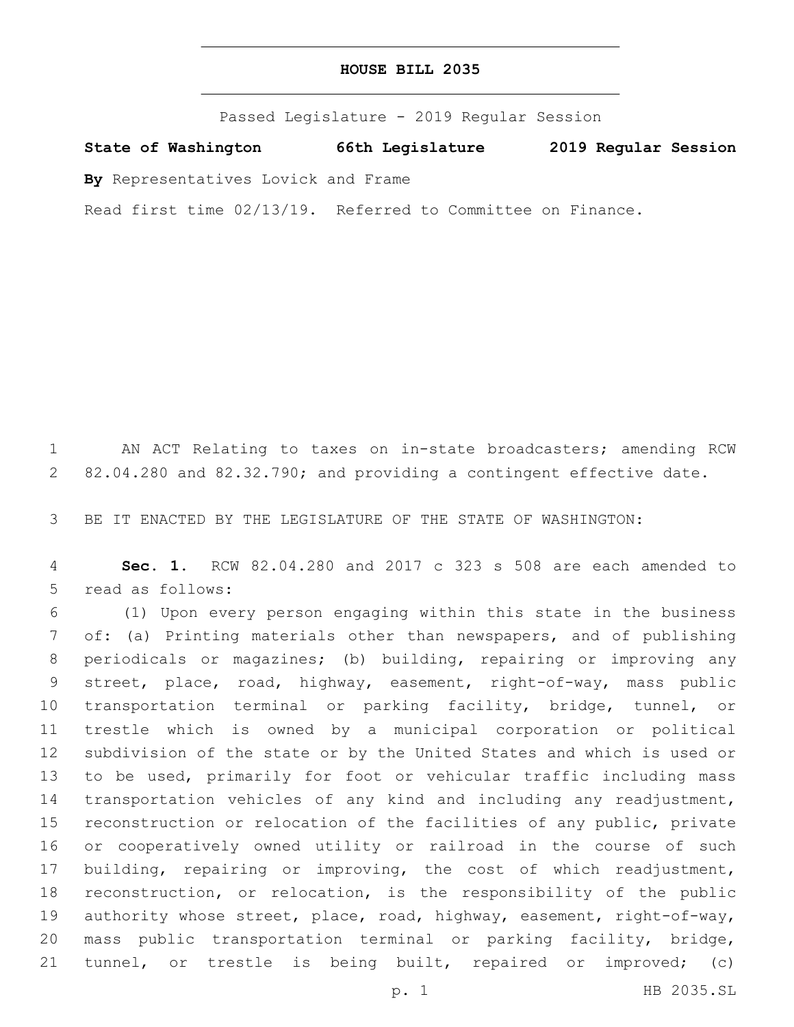| HOUSE BILL 2035 |  |  |  |
|-----------------|--|--|--|
|-----------------|--|--|--|

Passed Legislature - 2019 Regular Session

**State of Washington 66th Legislature 2019 Regular Session**

**By** Representatives Lovick and Frame

Read first time 02/13/19. Referred to Committee on Finance.

 AN ACT Relating to taxes on in-state broadcasters; amending RCW 82.04.280 and 82.32.790; and providing a contingent effective date.

BE IT ENACTED BY THE LEGISLATURE OF THE STATE OF WASHINGTON:

 **Sec. 1.** RCW 82.04.280 and 2017 c 323 s 508 are each amended to 5 read as follows:

 (1) Upon every person engaging within this state in the business of: (a) Printing materials other than newspapers, and of publishing periodicals or magazines; (b) building, repairing or improving any street, place, road, highway, easement, right-of-way, mass public transportation terminal or parking facility, bridge, tunnel, or trestle which is owned by a municipal corporation or political subdivision of the state or by the United States and which is used or to be used, primarily for foot or vehicular traffic including mass transportation vehicles of any kind and including any readjustment, reconstruction or relocation of the facilities of any public, private or cooperatively owned utility or railroad in the course of such building, repairing or improving, the cost of which readjustment, reconstruction, or relocation, is the responsibility of the public 19 authority whose street, place, road, highway, easement, right-of-way, mass public transportation terminal or parking facility, bridge, tunnel, or trestle is being built, repaired or improved; (c)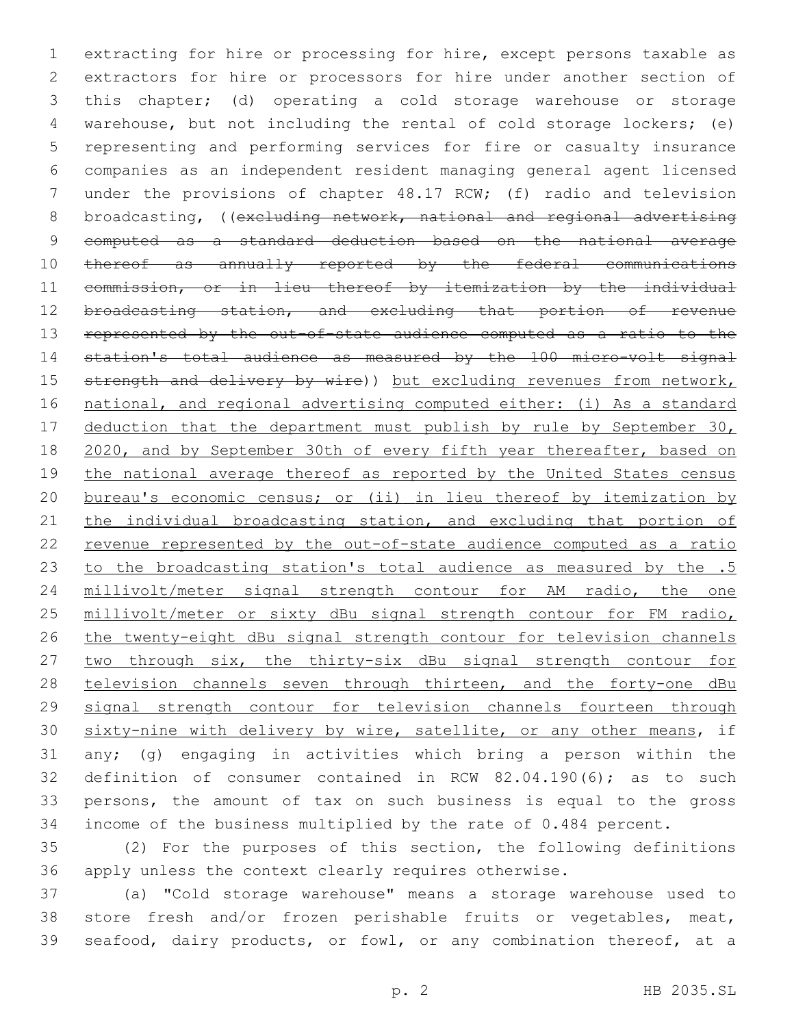extracting for hire or processing for hire, except persons taxable as extractors for hire or processors for hire under another section of this chapter; (d) operating a cold storage warehouse or storage warehouse, but not including the rental of cold storage lockers; (e) representing and performing services for fire or casualty insurance companies as an independent resident managing general agent licensed under the provisions of chapter 48.17 RCW; (f) radio and television 8 broadcasting, ((excluding network, national and regional advertising computed as a standard deduction based on the national average 10 thereof as annually reported by the federal communications commission, or in lieu thereof by itemization by the individual 12 broadcasting station, and excluding that portion of revenue represented by the out-of-state audience computed as a ratio to the station's total audience as measured by the 100 micro-volt signal 15 strength and delivery by wire)) but excluding revenues from network, national, and regional advertising computed either: (i) As a standard 17 deduction that the department must publish by rule by September 30, 18 2020, and by September 30th of every fifth year thereafter, based on 19 the national average thereof as reported by the United States census bureau's economic census; or (ii) in lieu thereof by itemization by 21 the individual broadcasting station, and excluding that portion of revenue represented by the out-of-state audience computed as a ratio to the broadcasting station's total audience as measured by the .5 millivolt/meter signal strength contour for AM radio, the one millivolt/meter or sixty dBu signal strength contour for FM radio, the twenty-eight dBu signal strength contour for television channels 27 two through six, the thirty-six dBu signal strength contour for 28 television channels seven through thirteen, and the forty-one dBu signal strength contour for television channels fourteen through 30 sixty-nine with delivery by wire, satellite, or any other means, if any; (g) engaging in activities which bring a person within the definition of consumer contained in RCW 82.04.190(6); as to such persons, the amount of tax on such business is equal to the gross income of the business multiplied by the rate of 0.484 percent.

 (2) For the purposes of this section, the following definitions apply unless the context clearly requires otherwise.

 (a) "Cold storage warehouse" means a storage warehouse used to store fresh and/or frozen perishable fruits or vegetables, meat, seafood, dairy products, or fowl, or any combination thereof, at a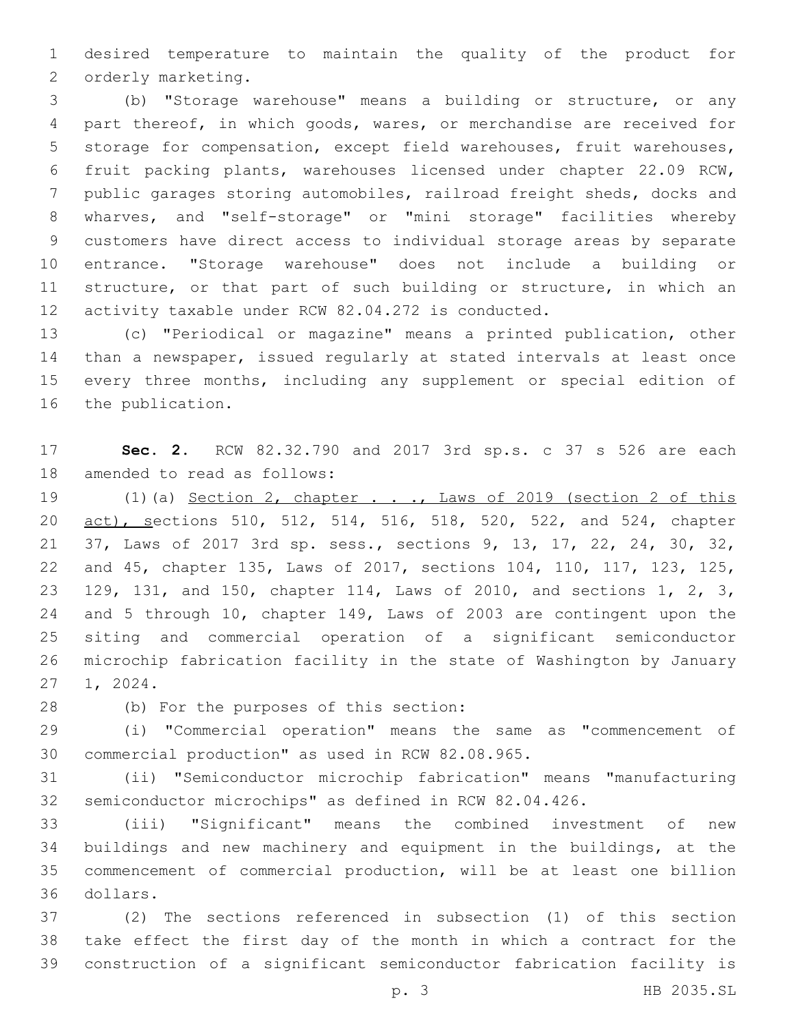desired temperature to maintain the quality of the product for 2 orderly marketing.

 (b) "Storage warehouse" means a building or structure, or any part thereof, in which goods, wares, or merchandise are received for storage for compensation, except field warehouses, fruit warehouses, fruit packing plants, warehouses licensed under chapter 22.09 RCW, public garages storing automobiles, railroad freight sheds, docks and wharves, and "self-storage" or "mini storage" facilities whereby customers have direct access to individual storage areas by separate entrance. "Storage warehouse" does not include a building or 11 structure, or that part of such building or structure, in which an activity taxable under RCW 82.04.272 is conducted.

 (c) "Periodical or magazine" means a printed publication, other than a newspaper, issued regularly at stated intervals at least once every three months, including any supplement or special edition of 16 the publication.

 **Sec. 2.** RCW 82.32.790 and 2017 3rd sp.s. c 37 s 526 are each 18 amended to read as follows:

19 (1)(a) Section 2, chapter . . ., Laws of 2019 (section 2 of this 20 act), sections 510, 512, 514, 516, 518, 520, 522, and 524, chapter 37, Laws of 2017 3rd sp. sess., sections 9, 13, 17, 22, 24, 30, 32, and 45, chapter 135, Laws of 2017, sections 104, 110, 117, 123, 125, 129, 131, and 150, chapter 114, Laws of 2010, and sections 1, 2, 3, and 5 through 10, chapter 149, Laws of 2003 are contingent upon the siting and commercial operation of a significant semiconductor microchip fabrication facility in the state of Washington by January 27 1, 2024.

(b) For the purposes of this section:28

 (i) "Commercial operation" means the same as "commencement of 30 commercial production" as used in RCW 82.08.965.

 (ii) "Semiconductor microchip fabrication" means "manufacturing semiconductor microchips" as defined in RCW 82.04.426.

 (iii) "Significant" means the combined investment of new buildings and new machinery and equipment in the buildings, at the commencement of commercial production, will be at least one billion dollars.36

 (2) The sections referenced in subsection (1) of this section take effect the first day of the month in which a contract for the construction of a significant semiconductor fabrication facility is

p. 3 HB 2035.SL